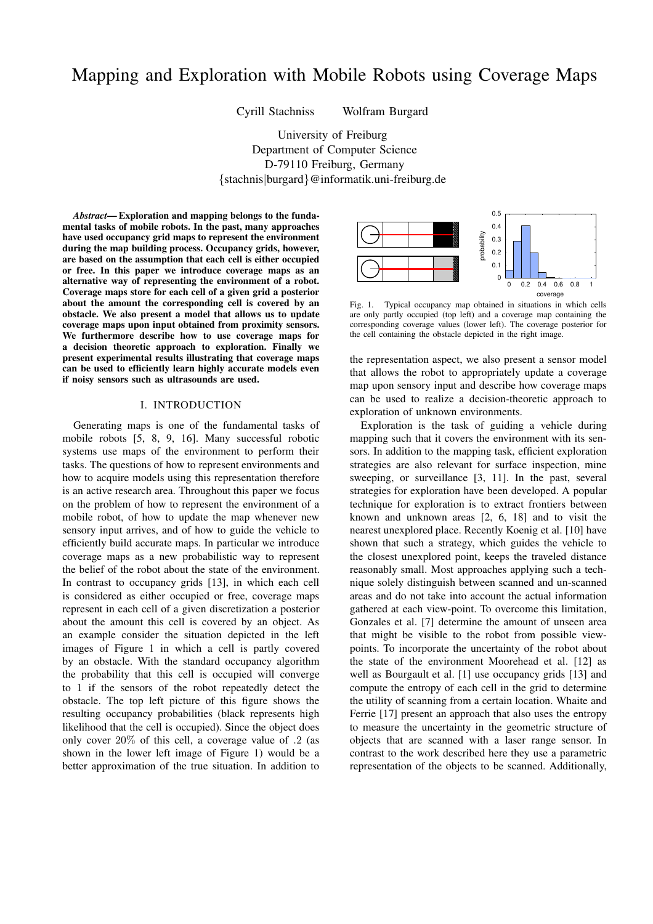# Mapping and Exploration with Mobile Robots using Coverage Maps

Cyrill Stachniss Wolfram Burgard

University of Freiburg Department of Computer Science D-79110 Freiburg, Germany {stachnis|burgard}@informatik.uni-freiburg.de

*Abstract***— Exploration and mapping belongs to the fundamental tasks of mobile robots. In the past, many approaches have used occupancy grid maps to represent the environment during the map building process. Occupancy grids, however, are based on the assumption that each cell is either occupied or free. In this paper we introduce coverage maps as an alternative way of representing the environment of a robot. Coverage maps store for each cell of a given grid a posterior about the amount the corresponding cell is covered by an obstacle. We also present a model that allows us to update coverage maps upon input obtained from proximity sensors. We furthermore describe how to use coverage maps for a decision theoretic approach to exploration. Finally we present experimental results illustrating that coverage maps can be used to efficiently learn highly accurate models even if noisy sensors such as ultrasounds are used.**

# I. INTRODUCTION

Generating maps is one of the fundamental tasks of mobile robots [5, 8, 9, 16]. Many successful robotic systems use maps of the environment to perform their tasks. The questions of how to represent environments and how to acquire models using this representation therefore is an active research area. Throughout this paper we focus on the problem of how to represent the environment of a mobile robot, of how to update the map whenever new sensory input arrives, and of how to guide the vehicle to efficiently build accurate maps. In particular we introduce coverage maps as a new probabilistic way to represent the belief of the robot about the state of the environment. In contrast to occupancy grids [13], in which each cell is considered as either occupied or free, coverage maps represent in each cell of a given discretization a posterior about the amount this cell is covered by an object. As an example consider the situation depicted in the left images of Figure 1 in which a cell is partly covered by an obstacle. With the standard occupancy algorithm the probability that this cell is occupied will converge to 1 if the sensors of the robot repeatedly detect the obstacle. The top left picture of this figure shows the resulting occupancy probabilities (black represents high likelihood that the cell is occupied). Since the object does only cover 20% of this cell, a coverage value of .2 (as shown in the lower left image of Figure 1) would be a better approximation of the true situation. In addition to



Fig. 1. Typical occupancy map obtained in situations in which cells are only partly occupied (top left) and a coverage map containing the corresponding coverage values (lower left). The coverage posterior for the cell containing the obstacle depicted in the right image.

the representation aspect, we also present a sensor model that allows the robot to appropriately update a coverage map upon sensory input and describe how coverage maps can be used to realize a decision-theoretic approach to exploration of unknown environments.

Exploration is the task of guiding a vehicle during mapping such that it covers the environment with its sensors. In addition to the mapping task, efficient exploration strategies are also relevant for surface inspection, mine sweeping, or surveillance [3, 11]. In the past, several strategies for exploration have been developed. A popular technique for exploration is to extract frontiers between known and unknown areas [2, 6, 18] and to visit the nearest unexplored place. Recently Koenig et al. [10] have shown that such a strategy, which guides the vehicle to the closest unexplored point, keeps the traveled distance reasonably small. Most approaches applying such a technique solely distinguish between scanned and un-scanned areas and do not take into account the actual information gathered at each view-point. To overcome this limitation, Gonzales et al. [7] determine the amount of unseen area that might be visible to the robot from possible viewpoints. To incorporate the uncertainty of the robot about the state of the environment Moorehead et al. [12] as well as Bourgault et al. [1] use occupancy grids [13] and compute the entropy of each cell in the grid to determine the utility of scanning from a certain location. Whaite and Ferrie [17] present an approach that also uses the entropy to measure the uncertainty in the geometric structure of objects that are scanned with a laser range sensor. In contrast to the work described here they use a parametric representation of the objects to be scanned. Additionally,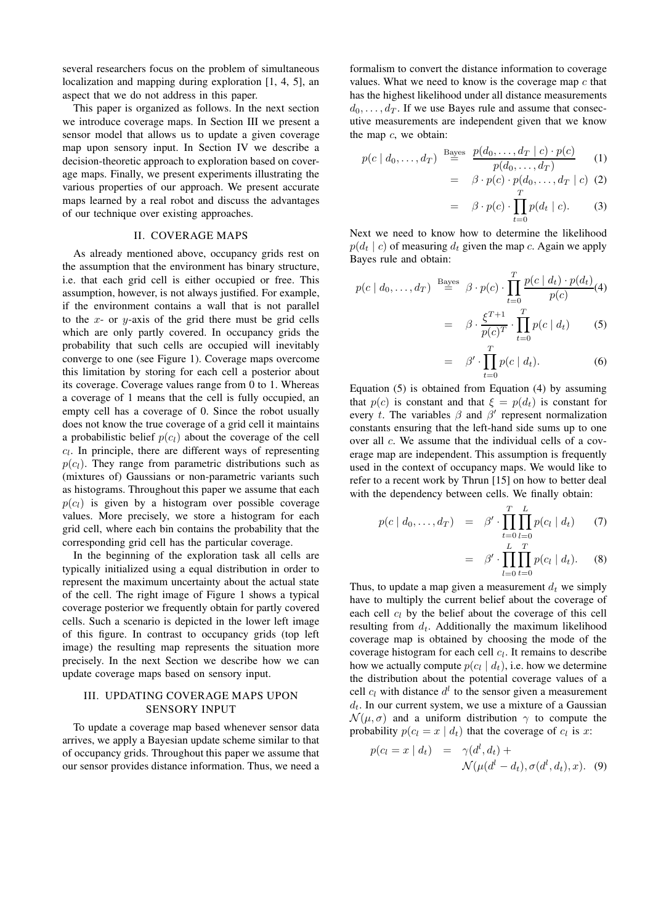several researchers focus on the problem of simultaneous localization and mapping during exploration [1, 4, 5], an aspect that we do not address in this paper.

This paper is organized as follows. In the next section we introduce coverage maps. In Section III we present a sensor model that allows us to update a given coverage map upon sensory input. In Section IV we describe a decision-theoretic approach to exploration based on coverage maps. Finally, we present experiments illustrating the various properties of our approach. We present accurate maps learned by a real robot and discuss the advantages of our technique over existing approaches.

# II. COVERAGE MAPS

As already mentioned above, occupancy grids rest on the assumption that the environment has binary structure, i.e. that each grid cell is either occupied or free. This assumption, however, is not always justified. For example, if the environment contains a wall that is not parallel to the  $x$ - or  $y$ -axis of the grid there must be grid cells which are only partly covered. In occupancy grids the probability that such cells are occupied will inevitably converge to one (see Figure 1). Coverage maps overcome this limitation by storing for each cell a posterior about its coverage. Coverage values range from 0 to 1. Whereas a coverage of 1 means that the cell is fully occupied, an empty cell has a coverage of 0. Since the robot usually does not know the true coverage of a grid cell it maintains a probabilistic belief  $p(c_l)$  about the coverage of the cell  $c_l$ . In principle, there are different ways of representing  $p(c_l)$ . They range from parametric distributions such as (mixtures of) Gaussians or non-parametric variants such as histograms. Throughout this paper we assume that each  $p(c_l)$  is given by a histogram over possible coverage values. More precisely, we store a histogram for each grid cell, where each bin contains the probability that the corresponding grid cell has the particular coverage.

In the beginning of the exploration task all cells are typically initialized using a equal distribution in order to represent the maximum uncertainty about the actual state of the cell. The right image of Figure 1 shows a typical coverage posterior we frequently obtain for partly covered cells. Such a scenario is depicted in the lower left image of this figure. In contrast to occupancy grids (top left image) the resulting map represents the situation more precisely. In the next Section we describe how we can update coverage maps based on sensory input.

## III. UPDATING COVERAGE MAPS UPON SENSORY INPUT

To update a coverage map based whenever sensor data arrives, we apply a Bayesian update scheme similar to that of occupancy grids. Throughout this paper we assume that our sensor provides distance information. Thus, we need a

formalism to convert the distance information to coverage values. What we need to know is the coverage map  $c$  that has the highest likelihood under all distance measurements  $d_0, \ldots, d_T$ . If we use Bayes rule and assume that consecutive measurements are independent given that we know the map  $c$ , we obtain:

$$
p(c \mid d_0, \ldots, d_T) \stackrel{\text{Bayes}}{=} \frac{p(d_0, \ldots, d_T \mid c) \cdot p(c)}{p(d_0, \ldots, d_T)} \qquad (1)
$$

$$
= \beta \cdot p(c) \cdot p(d_0, \dots, d_T \mid c) \tag{2}
$$

$$
= \beta \cdot p(c) \cdot \prod_{t=0}^{n} p(d_t \mid c). \tag{3}
$$

Next we need to know how to determine the likelihood  $p(d_t | c)$  of measuring  $d_t$  given the map c. Again we apply Bayes rule and obtain:

$$
p(c | d_0, ..., d_T) \stackrel{\text{Bayes}}{=} \beta \cdot p(c) \cdot \prod_{t=0}^T \frac{p(c | d_t) \cdot p(d_t)}{p(c)}(4)
$$

$$
= \beta \cdot \frac{\xi^{T+1}}{p(c)^T} \cdot \prod_{t=0}^T p(c | d_t) \qquad (5)
$$

$$
= \beta' \cdot \prod_{t=0}^{1} p(c \mid d_t). \tag{6}
$$

Equation (5) is obtained from Equation (4) by assuming that  $p(c)$  is constant and that  $\xi = p(d_t)$  is constant for every t. The variables  $\beta$  and  $\beta'$  represent normalization constants ensuring that the left-hand side sums up to one over all c. We assume that the individual cells of a coverage map are independent. This assumption is frequently used in the context of occupancy maps. We would like to refer to a recent work by Thrun [15] on how to better deal with the dependency between cells. We finally obtain:

$$
p(c | d_0, ..., d_T) = \beta' \cdot \prod_{t=0}^{T} \prod_{l=0}^{L} p(c_l | d_t)
$$
(7)  
=  $\beta' \cdot \prod_{l=0}^{L} \prod_{t=0}^{T} p(c_l | d_t)$ . (8)

Thus, to update a map given a measurement  $d_t$  we simply have to multiply the current belief about the coverage of each cell  $c_l$  by the belief about the coverage of this cell resulting from  $d_t$ . Additionally the maximum likelihood coverage map is obtained by choosing the mode of the coverage histogram for each cell  $c_l$ . It remains to describe how we actually compute  $p(c_l | d_t)$ , i.e. how we determine the distribution about the potential coverage values of a cell  $c_l$  with distance  $d^l$  to the sensor given a measurement  $d_t$ . In our current system, we use a mixture of a Gaussian  $\mathcal{N}(\mu, \sigma)$  and a uniform distribution  $\gamma$  to compute the probability  $p(c_l = x \mid d_t)$  that the coverage of  $c_l$  is x:

$$
p(c_l = x | d_t) = \gamma(d^l, d_t) + \mathcal{N}(\mu(d^l - d_t), \sigma(d^l, d_t), x).
$$
 (9)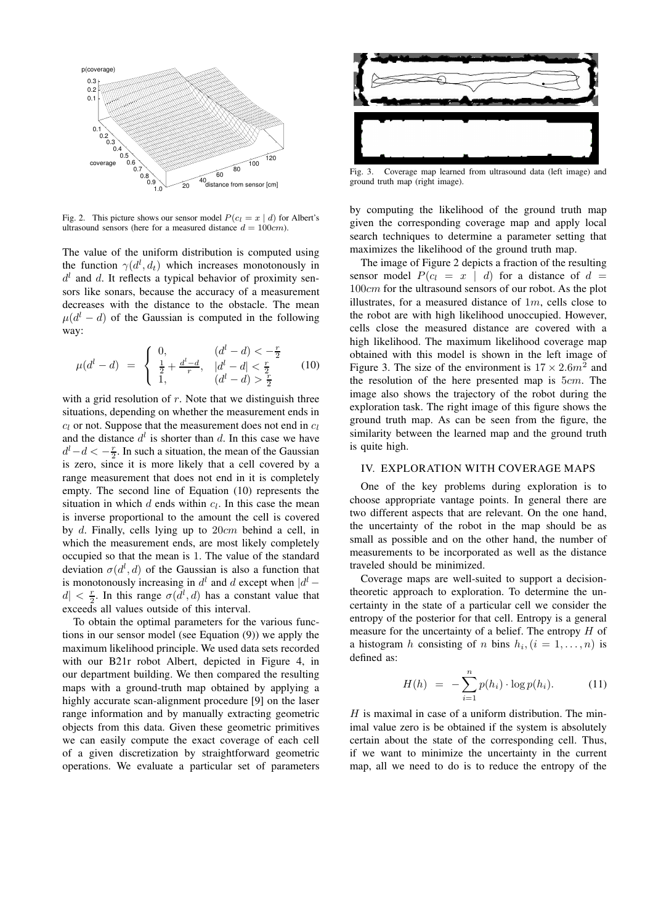

Fig. 2. This picture shows our sensor model  $P(c_l = x \mid d)$  for Albert's ultrasound sensors (here for a measured distance  $d = 100cm$ ).

The value of the uniform distribution is computed using the function  $\gamma(d^l, d_t)$  which increases monotonously in  $d<sup>l</sup>$  and d. It reflects a typical behavior of proximity sensors like sonars, because the accuracy of a measurement decreases with the distance to the obstacle. The mean  $\mu(d^l - d)$  of the Gaussian is computed in the following way:

$$
\mu(d^l - d) = \begin{cases}\n0, & (d^l - d) < -\frac{r}{2} \\
\frac{1}{2} + \frac{d^l - d}{r}, & |d^l - d| < \frac{r}{2} \\
1, & (d^l - d) > \frac{r}{2}\n\end{cases}
$$
\n(10)

with a grid resolution of  $r$ . Note that we distinguish three situations, depending on whether the measurement ends in  $c_l$  or not. Suppose that the measurement does not end in  $c_l$ and the distance  $d^l$  is shorter than d. In this case we have  $d^{l}-d \lt -\frac{r}{2}$ . In such a situation, the mean of the Gaussian is zero, since it is more likely that a cell covered by a range measurement that does not end in it is completely empty. The second line of Equation (10) represents the situation in which  $d$  ends within  $c_l$ . In this case the mean is inverse proportional to the amount the cell is covered by d. Finally, cells lying up to  $20cm$  behind a cell, in which the measurement ends, are most likely completely occupied so that the mean is 1. The value of the standard deviation  $\sigma(d^l, d)$  of the Gaussian is also a function that is monotonously increasing in  $d^l$  and d except when  $|d^l |d| < \frac{r}{2}$ . In this range  $\sigma(d^l, d)$  has a constant value that exceeds all values outside of this interval.

To obtain the optimal parameters for the various functions in our sensor model (see Equation (9)) we apply the maximum likelihood principle. We used data sets recorded with our B21r robot Albert, depicted in Figure 4, in our department building. We then compared the resulting maps with a ground-truth map obtained by applying a highly accurate scan-alignment procedure [9] on the laser range information and by manually extracting geometric objects from this data. Given these geometric primitives we can easily compute the exact coverage of each cell of a given discretization by straightforward geometric operations. We evaluate a particular set of parameters



Fig. 3. Coverage map learned from ultrasound data (left image) and ground truth map (right image).

by computing the likelihood of the ground truth map given the corresponding coverage map and apply local search techniques to determine a parameter setting that maximizes the likelihood of the ground truth map.

The image of Figure 2 depicts a fraction of the resulting sensor model  $P(c_1 = x \mid d)$  for a distance of  $d =$ 100cm for the ultrasound sensors of our robot. As the plot illustrates, for a measured distance of  $1m$ , cells close to the robot are with high likelihood unoccupied. However, cells close the measured distance are covered with a high likelihood. The maximum likelihood coverage map obtained with this model is shown in the left image of Figure 3. The size of the environment is  $17 \times 2.6m^2$  and the resolution of the here presented map is 5cm. The image also shows the trajectory of the robot during the exploration task. The right image of this figure shows the ground truth map. As can be seen from the figure, the similarity between the learned map and the ground truth is quite high.

### IV. EXPLORATION WITH COVERAGE MAPS

One of the key problems during exploration is to choose appropriate vantage points. In general there are two different aspects that are relevant. On the one hand, the uncertainty of the robot in the map should be as small as possible and on the other hand, the number of measurements to be incorporated as well as the distance traveled should be minimized.

Coverage maps are well-suited to support a decisiontheoretic approach to exploration. To determine the uncertainty in the state of a particular cell we consider the entropy of the posterior for that cell. Entropy is a general measure for the uncertainty of a belief. The entropy H of a histogram h consisting of n bins  $h_i$ ,  $(i = 1, ..., n)$  is defined as:

$$
H(h) = -\sum_{i=1}^{n} p(h_i) \cdot \log p(h_i).
$$
 (11)

 $H$  is maximal in case of a uniform distribution. The minimal value zero is be obtained if the system is absolutely certain about the state of the corresponding cell. Thus, if we want to minimize the uncertainty in the current map, all we need to do is to reduce the entropy of the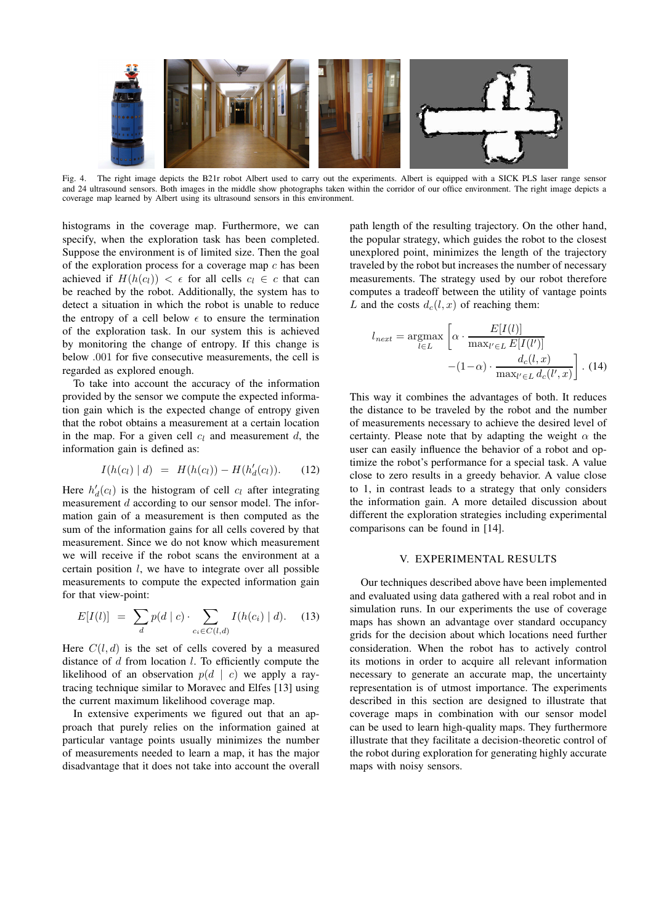

Fig. 4. The right image depicts the B21r robot Albert used to carry out the experiments. Albert is equipped with a SICK PLS laser range sensor and 24 ultrasound sensors. Both images in the middle show photographs taken within the corridor of our office environment. The right image depicts a coverage map learned by Albert using its ultrasound sensors in this environment.

histograms in the coverage map. Furthermore, we can specify, when the exploration task has been completed. Suppose the environment is of limited size. Then the goal of the exploration process for a coverage map  $c$  has been achieved if  $H(h(c_l)) < \epsilon$  for all cells  $c_l \in c$  that can be reached by the robot. Additionally, the system has to detect a situation in which the robot is unable to reduce the entropy of a cell below  $\epsilon$  to ensure the termination of the exploration task. In our system this is achieved by monitoring the change of entropy. If this change is below .001 for five consecutive measurements, the cell is regarded as explored enough.

To take into account the accuracy of the information provided by the sensor we compute the expected information gain which is the expected change of entropy given that the robot obtains a measurement at a certain location in the map. For a given cell  $c_l$  and measurement d, the information gain is defined as:

$$
I(h(c_l) | d) = H(h(c_l)) - H(h'_d(c_l)). \tag{12}
$$

Here  $h'_d(c_l)$  is the histogram of cell  $c_l$  after integrating measurement d according to our sensor model. The information gain of a measurement is then computed as the sum of the information gains for all cells covered by that measurement. Since we do not know which measurement we will receive if the robot scans the environment at a certain position  $l$ , we have to integrate over all possible measurements to compute the expected information gain for that view-point:

$$
E[I(l)] = \sum_{d} p(d \mid c) \cdot \sum_{c_i \in C(l,d)} I(h(c_i) \mid d). \quad (13)
$$

Here  $C(l, d)$  is the set of cells covered by a measured distance of  $d$  from location  $l$ . To efficiently compute the likelihood of an observation  $p(d \mid c)$  we apply a raytracing technique similar to Moravec and Elfes [13] using the current maximum likelihood coverage map.

In extensive experiments we figured out that an approach that purely relies on the information gained at particular vantage points usually minimizes the number of measurements needed to learn a map, it has the major disadvantage that it does not take into account the overall

path length of the resulting trajectory. On the other hand, the popular strategy, which guides the robot to the closest unexplored point, minimizes the length of the trajectory traveled by the robot but increases the number of necessary measurements. The strategy used by our robot therefore computes a tradeoff between the utility of vantage points L and the costs  $d_c(l, x)$  of reaching them:

$$
l_{next} = \underset{l \in L}{\operatorname{argmax}} \left[ \alpha \cdot \frac{E[I(l)]}{\max_{l' \in L} E[I(l')]}\n- (1-\alpha) \cdot \frac{d_c(l,x)}{\max_{l' \in L} d_c(l',x)} \right]. \tag{14}
$$

This way it combines the advantages of both. It reduces the distance to be traveled by the robot and the number of measurements necessary to achieve the desired level of certainty. Please note that by adapting the weight  $\alpha$  the user can easily influence the behavior of a robot and optimize the robot's performance for a special task. A value close to zero results in a greedy behavior. A value close to 1, in contrast leads to a strategy that only considers the information gain. A more detailed discussion about different the exploration strategies including experimental comparisons can be found in [14].

# V. EXPERIMENTAL RESULTS

Our techniques described above have been implemented and evaluated using data gathered with a real robot and in simulation runs. In our experiments the use of coverage maps has shown an advantage over standard occupancy grids for the decision about which locations need further consideration. When the robot has to actively control its motions in order to acquire all relevant information necessary to generate an accurate map, the uncertainty representation is of utmost importance. The experiments described in this section are designed to illustrate that coverage maps in combination with our sensor model can be used to learn high-quality maps. They furthermore illustrate that they facilitate a decision-theoretic control of the robot during exploration for generating highly accurate maps with noisy sensors.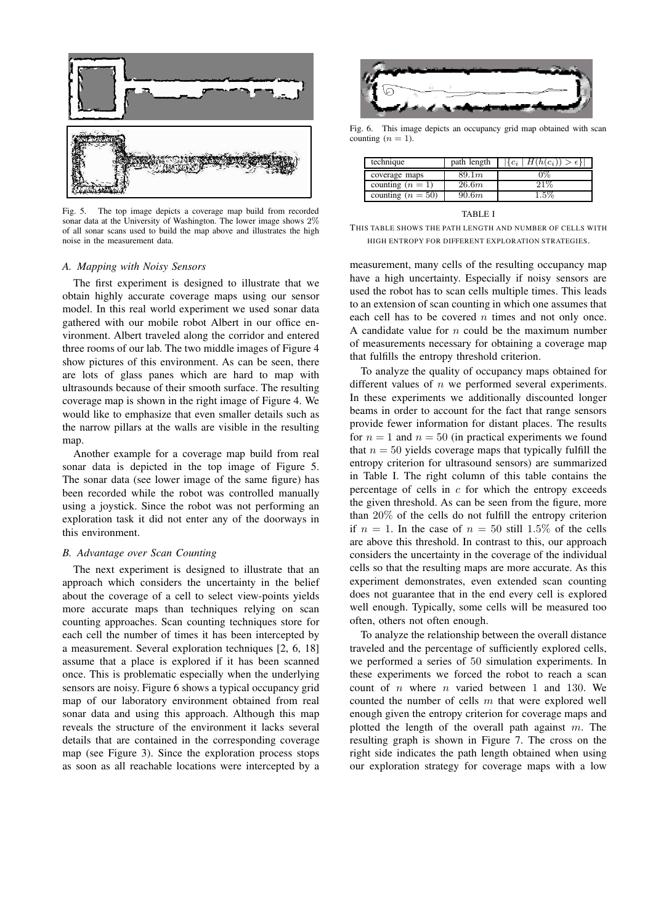

Fig. 5. The top image depicts a coverage map build from recorded sonar data at the University of Washington. The lower image shows 2% of all sonar scans used to build the map above and illustrates the high noise in the measurement data.

#### *A. Mapping with Noisy Sensors*

The first experiment is designed to illustrate that we obtain highly accurate coverage maps using our sensor model. In this real world experiment we used sonar data gathered with our mobile robot Albert in our office environment. Albert traveled along the corridor and entered three rooms of our lab. The two middle images of Figure 4 show pictures of this environment. As can be seen, there are lots of glass panes which are hard to map with ultrasounds because of their smooth surface. The resulting coverage map is shown in the right image of Figure 4. We would like to emphasize that even smaller details such as the narrow pillars at the walls are visible in the resulting map.

Another example for a coverage map build from real sonar data is depicted in the top image of Figure 5. The sonar data (see lower image of the same figure) has been recorded while the robot was controlled manually using a joystick. Since the robot was not performing an exploration task it did not enter any of the doorways in this environment.

#### *B. Advantage over Scan Counting*

The next experiment is designed to illustrate that an approach which considers the uncertainty in the belief about the coverage of a cell to select view-points yields more accurate maps than techniques relying on scan counting approaches. Scan counting techniques store for each cell the number of times it has been intercepted by a measurement. Several exploration techniques [2, 6, 18] assume that a place is explored if it has been scanned once. This is problematic especially when the underlying sensors are noisy. Figure 6 shows a typical occupancy grid map of our laboratory environment obtained from real sonar data and using this approach. Although this map reveals the structure of the environment it lacks several details that are contained in the corresponding coverage map (see Figure 3). Since the exploration process stops as soon as all reachable locations were intercepted by a



Fig. 6. This image depicts an occupancy grid map obtained with scan counting  $(n = 1)$ .

| technique           | path length | $\{c_i \mid H(h(c_i)) > \epsilon\}\$ |
|---------------------|-------------|--------------------------------------|
| coverage maps       | 89.1m       |                                      |
| counting $(n = 1)$  | 26.6m       | 21\%                                 |
| counting $(n = 50)$ | 90.6m       | .5%                                  |

#### TABLE I

THIS TABLE SHOWS THE PATH LENGTH AND NUMBER OF CELLS WITH HIGH ENTROPY FOR DIFFERENT EXPLORATION STRATEGIES.

measurement, many cells of the resulting occupancy map have a high uncertainty. Especially if noisy sensors are used the robot has to scan cells multiple times. This leads to an extension of scan counting in which one assumes that each cell has to be covered  $n$  times and not only once. A candidate value for  $n$  could be the maximum number of measurements necessary for obtaining a coverage map that fulfills the entropy threshold criterion.

To analyze the quality of occupancy maps obtained for different values of *n* we performed several experiments. In these experiments we additionally discounted longer beams in order to account for the fact that range sensors provide fewer information for distant places. The results for  $n = 1$  and  $n = 50$  (in practical experiments we found that  $n = 50$  yields coverage maps that typically fulfill the entropy criterion for ultrasound sensors) are summarized in Table I. The right column of this table contains the percentage of cells in  $c$  for which the entropy exceeds the given threshold. As can be seen from the figure, more than 20% of the cells do not fulfill the entropy criterion if  $n = 1$ . In the case of  $n = 50$  still 1.5% of the cells are above this threshold. In contrast to this, our approach considers the uncertainty in the coverage of the individual cells so that the resulting maps are more accurate. As this experiment demonstrates, even extended scan counting does not guarantee that in the end every cell is explored well enough. Typically, some cells will be measured too often, others not often enough.

To analyze the relationship between the overall distance traveled and the percentage of sufficiently explored cells, we performed a series of 50 simulation experiments. In these experiments we forced the robot to reach a scan count of  $n$  where  $n$  varied between 1 and 130. We counted the number of cells  $m$  that were explored well enough given the entropy criterion for coverage maps and plotted the length of the overall path against  $m$ . The resulting graph is shown in Figure 7. The cross on the right side indicates the path length obtained when using our exploration strategy for coverage maps with a low